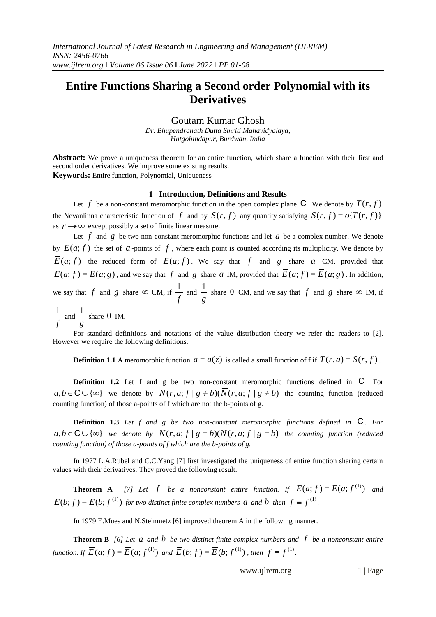# **Entire Functions Sharing a Second order Polynomial with its Derivatives**

Goutam Kumar Ghosh

*Dr. Bhupendranath Dutta Smriti Mahavidyalaya, Hatgobindapur, Burdwan, India*

**Abstract:** We prove a uniqueness theorem for an entire function, which share a function with their first and second order derivatives. We improve some existing results. **Keywords:** Entire function, Polynomial, Uniqueness

### **1 Introduction, Definitions and Results**

Let  $f$  be a non-constant meromorphic function in the open complex plane  $C$  . We denote by  $T(r, f)$ the Nevanlinna characteristic function of f and by  $S(r, f)$  any quantity satisfying  $S(r, f) = o\{T(r, f)\}$ as  $r \rightarrow \infty$  except possibly a set of finite linear measure.

Let  $f$  and  $g$  be two non-constant meromorphic functions and let  $a$  be a complex number. We denote by  $E(a; f)$  the set of  $a$ -points of  $f$ , where each point is counted according its multiplicity. We denote by  $E(a; f)$  the reduced form of  $E(a; f)$ . We say that f and g share a CM, provided that  $E(a; f) = E(a; g)$ , and we say that f and g share a IM, provided that  $E(a; f) = E(a; g)$ . In addition, we say that  $f$  and  $g$  share  $\infty$  CM, if *f*  $\frac{1}{a}$  and *g*  $\frac{1}{x}$  share 0 CM, and we say that f and g share  $\infty$  IM, if

*f*  $\frac{1}{a}$  and *g*  $\frac{1}{1}$  share 0 IM.

For standard definitions and notations of the value distribution theory we refer the readers to [2]. However we require the following definitions.

**Definition 1.1** A meromorphic function  $a = a(z)$  is called a small function of f if  $T(r, a) = S(r, f)$ .

**Definition 1.2** Let f and g be two non-constant meromorphic functions defined in  $C$ . For  $a, b \in \mathbb{C} \cup \{\infty\}$  we denote by  $N(r, a; f | g \neq b)(\overline{N}(r, a; f | g \neq b))$  the counting function (reduced counting function) of those a-points of f which are not the b-points of g.

**Definition 1.3** *Let f and g be two non-constant meromorphic functions defined in*  C *. For*   $a, b \in \mathbb{C} \cup \{\infty\}$  we denote by  $N(r, a; f | g = b)(N(r, a; f | g = b)$  the counting function (reduced *counting function) of those a-points of f which are the b-points of g.* 

In 1977 L.A.Rubel and C.C.Yang [7] first investigated the uniqueness of entire function sharing certain values with their derivatives. They proved the following result.

**Theorem A** [7] Let  $f$  be a nonconstant entire function. If  $E(a; f) = E(a; f^{(1)})$  and  $E(b; f) = E(b; f^{(1)})$  for two distinct finite complex numbers  $a$  and  $b$  then  $f \equiv f^{(1)}$ .

In 1979 E.Mues and N.Steinmetz [6] improved theorem A in the following manner.

**Theorem B** [6] Let  $a$  and  $b$  be two distinct finite complex numbers and  $f$  be a nonconstant entire *function. If*  $\overline{E}(a; f) = \overline{E}(a; f^{(1)})$  and  $\overline{E}(b; f) = \overline{E}(b; f^{(1)})$ , then  $f \equiv f^{(1)}$ .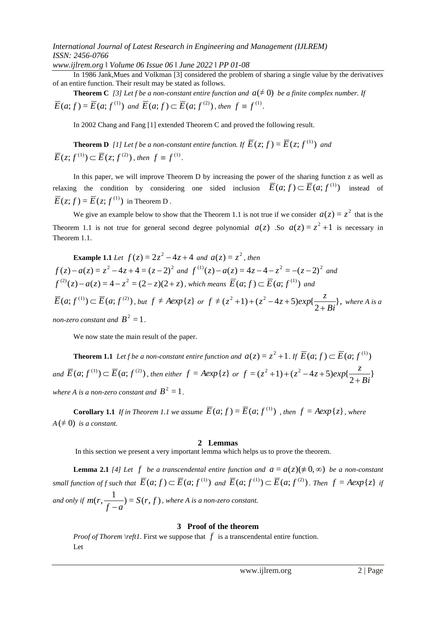# *International Journal of Latest Research in Engineering and Management (IJLREM) ISSN: 2456-0766*

*www.ijlrem.org ǁ Volume 06 Issue 06 ǁ June 2022 ǁ PP 01-08*

In 1986 Jank,Mues and Volkman [3] considered the problem of sharing a single value by the derivatives of an entire function. Their result may be stated as follows.

**Theorem C** [3] Let f be a non-constant entire function and  $a (\neq 0)$  be a finite complex number. If  $\overline{E}(a; f) = \overline{E}(a; f^{(1)})$  and  $\overline{E}(a; f) \subset \overline{E}(a; f^{(2)})$ , then  $f \equiv f^{(1)}$ .

In 2002 Chang and Fang [1] extended Theorem C and proved the following result.

**Theorem D** [1] Let f be a non-constant entire function. If  $\overline{E}(z; f) = \overline{E}(z; f^{(1)})$  and  $\overline{E}(z; f^{(1)}) \subset \overline{E}(z; f^{(2)})$ , then  $f \equiv f^{(1)}$ .

In this paper, we will improve Theorem D by increasing the power of the sharing function z as well as relaxing the condition by considering one sided inclusion  $\overline{E}(a; f) \subset \overline{E}(a; f^{(1)})$  instead of  $\overline{E}(z; f) = \overline{E}(z; f^{(1)})$  in Theorem D.

We give an example below to show that the Theorem 1.1 is not true if we consider  $a(z) = z^2$  that is the Theorem 1.1 is not true for general second degree polynomial  $a(z)$ . So  $a(z) = z^2 + 1$  is necessary in Theorem 1.1.

**Example 1.1** Let 
$$
f(z) = 2z^2 - 4z + 4
$$
 and  $a(z) = z^2$ , then  
\n $f(z) - a(z) = z^2 - 4z + 4 = (z - 2)^2$  and  $f^{(1)}(z) - a(z) = 4z - 4 - z^2 = -(z - 2)^2$  and  
\n $f^{(2)}(z) - a(z) = 4 - z^2 = (2 - z)(2 + z)$ , which means  $\overline{E}(a; f) \subset \overline{E}(a; f^{(1)})$  and  
\n $\overline{E}(a; f^{(1)}) \subset \overline{E}(a; f^{(2)})$ , but  $f \neq Aexp\{z\}$  or  $f \neq (z^2 + 1) + (z^2 - 4z + 5)exp\{\frac{z}{2 + Bi}\}$ , where A is a  
\nnon-zero constant and  $B^2 = 1$ .

We now state the main result of the paper.

**Theorem 1.1** Let f be a non-constant entire function and  $a(z) = z^2 + 1$ . If  $\overline{E}(a; f) \subset \overline{E}(a; f^{(1)})$ *and*  $\overline{E}(a; f^{(1)}) \subset \overline{E}(a; f^{(2)})$ , then either  $f = Aexp\{z\}$  or  $f = (z^2 + 1) + (z^2 - 4z + 5)exp\{\frac{z}{z-2z}\}$ 2  $=(z^2+1)+(z^2-4z+5)exp{$ *Bi*  $f = (z^2 + 1) + (z^2 - 4z + 5)exp{\frac{z}{2}}$  $^{+}$  $+1$ ) + ( $z^2$  – 4z + where A is a non-zero constant and  $B^2 = 1$ .

**Corollary 1.1** If in Theorem 1.1 we assume  $\overline{E}(a; f) = \overline{E}(a; f^{(1)})$ , then  $f = Aexp\{z\}$ , where  $A \neq 0$ ) *is a constant.* 

#### **2 Lemmas**

In this section we present a very important lemma which helps us to prove the theorem.

**Lemma 2.1** [4] Let  $f$  be a transcendental entire function and  $a = a(z) (\neq 0, \infty)$  be a non-constant small function of f such that  $\overline{E}(a;f)\subset \overline{E}(a;f^{(1)})$  and  $\overline{E}(a;f^{(1)})\subset \overline{E}(a;f^{(2)})$ . Then  $f=Aexp\{z\}$  if *and only if*  $m(r, \frac{1}{\cdot}, \frac{1}{\cdot}) = S(r, f)$  $f - a$ *m r*  $\frac{1}{a} = S(r, f)$ , where A is a non-zero constant.

## **3 Proof of the theorem**

*Proof of Thorem \reft1*. First we suppose that  $f$  is a transcendental entire function. Let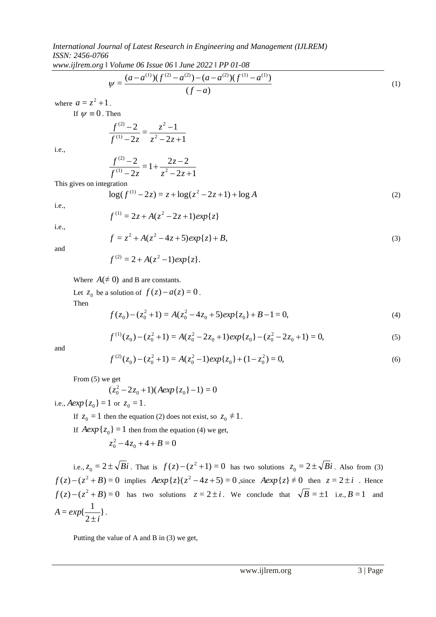*www.ijlrem.org ǁ Volume 06 Issue 06 ǁ June 2022 ǁ PP 01-08*

$$
\psi = \frac{(a - a^{(1)})(f^{(2)} - a^{(2)}) - (a - a^{(2)})(f^{(1)} - a^{(1)})}{(f - a)}
$$
\n(1)

where  $a = z^2 + 1$ .

If  $\psi \equiv 0$ . Then

$$
\frac{f^{(2)}-2}{f^{(1)}-2z}=\frac{z^2-1}{z^2-2z+1}
$$

i.e.,

$$
\frac{f^{(2)}-2}{f^{(1)}-2z} = 1 + \frac{2z-2}{z^2-2z+1}
$$

This gives on integration

$$
\log(f^{(1)} - 2z) = z + \log(z^2 - 2z + 1) + \log A \tag{2}
$$

i.e.,

i.e.,

$$
f^{(1)} = 2z + A(z^2 - 2z + 1)exp{z}
$$
  

$$
f = z^2 + A(z^2 - 4z + 5)exp{z} + B,
$$
 (3)

and

$$
f^{(2)} = 2 + A(z^2 - 1)exp{z}.
$$

Where  $A(\neq 0)$  and B are constants.

Let  $z_0$  be a solution of  $f(z) - a(z) = 0$ .

Then

$$
f(z_0) - (z_0^2 + 1) = A(z_0^2 - 4z_0 + 5)exp{z_0} + B - 1 = 0,
$$
\n(4)

$$
f^{(1)}(z_0) - (z_0^2 + 1) = A(z_0^2 - 2z_0 + 1)exp{z_0} - (z_0^2 - 2z_0 + 1) = 0,
$$
\n(5)

and

$$
f^{(2)}(z_0) - (z_0^2 + 1) = A(z_0^2 - 1)exp{z_0} + (1 - z_0^2) = 0,
$$
\n(6)

From (5) we get

$$
(z_0^2 - 2z_0 + 1)(A \exp\{z_0\} - 1) = 0
$$

i.e.,  $Aexp\{z_0\} = 1$  or  $z_0 = 1$ .

If  $z_0 = 1$  then the equation (2) does not exist, so  $z_0 \neq 1$ .

If  $Aexp{z_0} = 1$  then from the equation (4) we get,

$$
z_0^2 - 4z_0 + 4 + B = 0
$$

i.e.,  $z_0 = 2 \pm \sqrt{Bi}$ . That is  $f(z) - (z^2 + 1) = 0$  has two solutions  $z_0 = 2 \pm \sqrt{Bi}$ . Also from (3)  $f(z) - (z^2 + B) = 0$  implies  $Aexp{z}(z^2 - 4z + 5) = 0$ , since  $Aexp{z} \neq 0$  then  $z = 2 \pm i$ . Hence  $f(z) - (z^2 + B) = 0$  has two solutions  $z = 2 \pm i$ . We conclude that  $\sqrt{B} = \pm 1$  i.e.,  $B = 1$  and } 2  $= exp\{\frac{1}{2}\}$ *i A exp*  $\frac{1}{\pm i}$ .

Putting the value of A and B in (3) we get,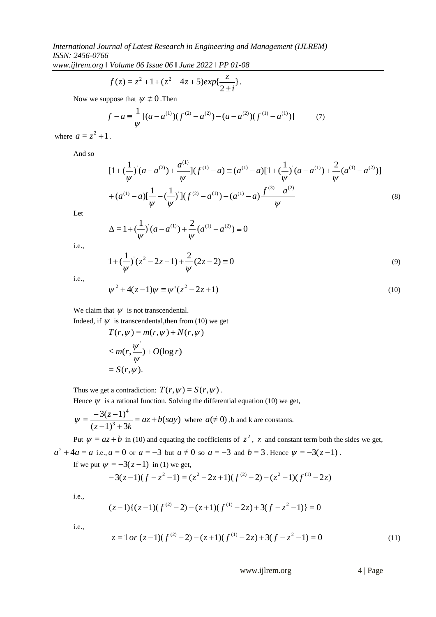*www.ijlrem.org ǁ Volume 06 Issue 06 ǁ June 2022 ǁ PP 01-08*

$$
f(z) = z^2 + 1 + (z^2 - 4z + 5)exp\{\frac{z}{2 \pm i}\}.
$$

Now we suppose that  $\psi \neq 0$ . Then

$$
f - a \equiv \frac{1}{\psi} [(a - a^{(1)})(f^{(2)} - a^{(2)}) - (a - a^{(2)})(f^{(1)} - a^{(1)})]
$$
(7)

where  $a = z^2 + 1$ .

And so

$$
[1 + (\frac{1}{\psi})(a - a^{(2)}) + \frac{a^{(1)}}{\psi}](f^{(1)} - a) = (a^{(1)} - a)[1 + (\frac{1}{\psi})(a - a^{(1)}) + \frac{2}{\psi}(a^{(1)} - a^{(2)})]
$$
  
+ 
$$
(a^{(1)} - a)[\frac{1}{\psi} - (\frac{1}{\psi})](f^{(2)} - a^{(1)}) - (a^{(1)} - a)\frac{f^{(3)} - a^{(2)}}{\psi}
$$
 (8)

Let

$$
\Delta = 1 + \left(\frac{1}{\psi}\right) (a - a^{(1)}) + \frac{2}{\psi} (a^{(1)} - a^{(2)}) \equiv 0
$$

i.e.,

$$
1 + \left(\frac{1}{\psi}\right)^{2} (z^{2} - 2z + 1) + \frac{2}{\psi} (2z - 2) \equiv 0
$$
\n(9)

i.e.,

$$
\psi^2 + 4(z - 1)\psi \equiv \psi'(z^2 - 2z + 1)
$$
\n(10)

We claim that  $\psi$  is not transcendental.

Indeed, if  $\psi$  is transcendental, then from (10) we get

$$
T(r,\psi) = m(r,\psi) + N(r,\psi)
$$
  
\n
$$
\leq m(r,\frac{\psi'}{\psi}) + O(\log r)
$$
  
\n
$$
= S(r,\psi).
$$

Thus we get a contradiction:  $T(r, \psi) = S(r, \psi)$ .

Hence  $\psi$  is a rational function. Solving the differential equation (10) we get,

$$
\psi = \frac{-3(z-1)^4}{(z-1)^3 + 3k} = az + b(say)
$$
 where  $a \neq 0$ , b and k are constants.

Put  $\psi = az + b$  in (10) and equating the coefficients of  $z^2$ ,  $z$  and constant term both the sides we get,  $a^2 + 4a = a$  i.e.,  $a = 0$  or  $a = -3$  but  $a \neq 0$  so  $a = -3$  and  $b = 3$ . Hence  $\psi = -3(z-1)$ .

If we put  $\psi = -3(z-1)$  in (1) we get,

$$
-3(z-1)(f-z2-1) = (z2-2z+1)(f(2)-2) - (z2-1)(f(1)-2z)
$$

i.e.,

$$
(z-1){(z-1)(f(2) - 2) - (z+1)(f(1) - 2z) + 3(f - z2 - 1)} = 0
$$

i.e.,

$$
z = 1 \text{ or } (z-1)(f(2) - 2) - (z+1)(f(1) - 2z) + 3(f - z2 - 1) = 0
$$
\n(11)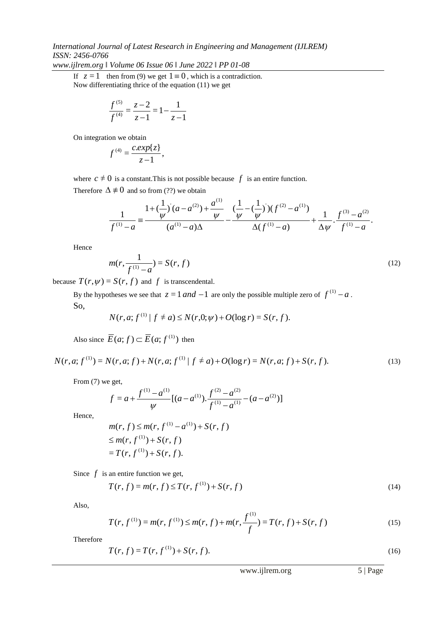# *International Journal of Latest Research in Engineering and Management (IJLREM) ISSN: 2456-0766*

*www.ijlrem.org ǁ Volume 06 Issue 06 ǁ June 2022 ǁ PP 01-08*

If  $z = 1$  then from (9) we get  $1 \equiv 0$ , which is a contradiction. Now differentiating thrice of the equation (11) we get

$$
\frac{f^{(5)}}{f^{(4)}} = \frac{z-2}{z-1} = 1 - \frac{1}{z-1}
$$

On integration we obtain

$$
f^{(4)}=\frac{c.\exp\{z\}}{z-1},
$$

where  $c \neq 0$  is a constant. This is not possible because  $f$  is an entire function.

Therefore  $\Delta \neq 0$  and so from (??) we obtain

$$
\frac{1}{f^{(1)}-a} = \frac{1 + (\frac{1}{\psi})(a-a^{(2)}) + \frac{a^{(1)}}{\psi}}{(a^{(1)}-a)\Delta} - \frac{(\frac{1}{\psi} - (\frac{1}{\psi}))(f^{(2)}-a^{(1)})}{\Delta(f^{(1)}-a)} + \frac{1}{\Delta\psi} \cdot \frac{f^{(3)}-a^{(2)}}{f^{(1)}-a}.
$$

 $(1)$ 

Hence

$$
m(r, \frac{1}{f^{(1)} - a}) = S(r, f) \tag{12}
$$

because  $T(r, \psi) = S(r, f)$  and f is transcendental.

By the hypotheses we see that  $z = 1$  *and*  $-1$  are only the possible multiple zero of  $f^{(1)} - a$ . So,

$$
N(r, a; f^{(1)} | f \neq a) \leq N(r, 0; \psi) + O(\log r) = S(r, f).
$$

Also since  $\overline{E}(a; f) \subset \overline{E}(a; f^{(1)})$  then

$$
N(r, a; f^{(1)}) = N(r, a; f) + N(r, a; f^{(1)} | f \neq a) + O(\log r) = N(r, a; f) + S(r, f). \tag{13}
$$

From  $(7)$  we get,

$$
f = a + \frac{f^{(1)} - a^{(1)}}{\psi} [(a - a^{(1)}) \cdot \frac{f^{(2)} - a^{(2)}}{f^{(1)} - a^{(1)}} - (a - a^{(2)})]
$$

Hence,

$$
m(r, f) \le m(r, f^{(1)} - a^{(1)}) + S(r, f)
$$
  
\n
$$
\le m(r, f^{(1)}) + S(r, f)
$$
  
\n
$$
= T(r, f^{(1)}) + S(r, f).
$$

Since  $f$  is an entire function we get,

$$
T(r, f) = m(r, f) \le T(r, f(1)) + S(r, f)
$$
\n(14)

Also,

$$
T(r, f^{(1)}) = m(r, f^{(1)}) \le m(r, f) + m(r, \frac{f^{(1)}}{f}) = T(r, f) + S(r, f)
$$
\n(15)

Therefore

$$
T(r, f) = T(r, f(1)) + S(r, f).
$$
 (16)

www.ijlrem.org 5 | Page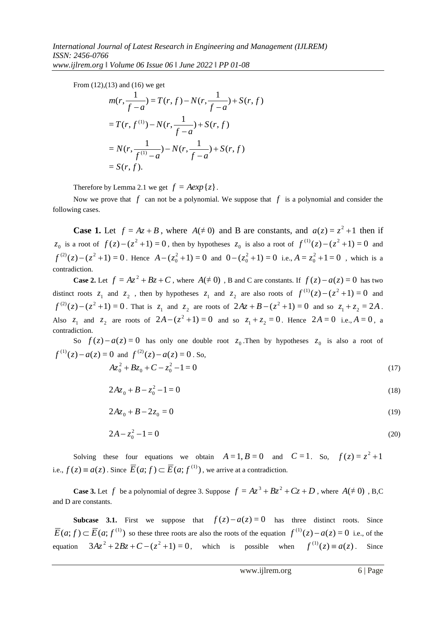From (12),(13) and (16) we get

$$
m(r, \frac{1}{f-a}) = T(r, f) - N(r, \frac{1}{f-a}) + S(r, f)
$$
  
=  $T(r, f^{(1)}) - N(r, \frac{1}{f-a}) + S(r, f)$   
=  $N(r, \frac{1}{f^{(1)}-a}) - N(r, \frac{1}{f-a}) + S(r, f)$   
=  $S(r, f)$ .

Therefore by Lemma 2.1 we get  $f = Aexp{z}$ .

Now we prove that  $f$  can not be a polynomial. We suppose that  $f$  is a polynomial and consider the following cases.

**Case 1.** Let  $f = Az + B$ , where  $A \neq 0$  and B are constants, and  $a(z) = z^2 + 1$  then if  $z_0$  is a root of  $f(z) - (z^2 + 1) = 0$ , then by hypotheses  $z_0$  is also a root of  $f^{(1)}(z) - (z^2 + 1) = 0$  and  $f^{(2)}(z) - (z^2 + 1) = 0$ . Hence  $A - (z_0^2 + 1) = 0$  and  $0 - (z_0^2 + 1) = 0$  i.e.,  $A = z_0^2 + 1 = 0$ , which is a contradiction.

**Case 2.** Let  $f = Az^2 + Bz + C$ , where  $A(± 0)$ , B and C are constants. If  $f(z) - a(z) = 0$  has two distinct roots  $z_1$  and  $z_2$ , then by hypotheses  $z_1$  and  $z_2$  are also roots of  $f^{(1)}(z) - (z^2 + 1) = 0$  and  $f^{(2)}(z) - (z^2 + 1) = 0$ . That is  $z_1$  and  $z_2$  are roots of  $2Az + B - (z^2 + 1) = 0$  and so  $z_1 + z_2 = 2A$ . Also  $z_1$  and  $z_2$  are roots of  $2A - (z^2 + 1) = 0$  and so  $z_1 + z_2 = 0$ . Hence  $2A = 0$  i.e.,  $A = 0$ , a contradiction.

So  $f(z) - a(z) = 0$  has only one double root  $z_0$ . Then by hypotheses  $z_0$  is also a root of  $f^{(1)}(z) - a(z) = 0$  and  $f^{(2)}(z) - a(z) = 0$ . So,

$$
Az_0^2 + Bz_0 + C - z_0^2 - 1 = 0
$$
\n<sup>(17)</sup>

$$
2A z_0 + B - z_0^2 - 1 = 0 \tag{18}
$$

$$
2A z_0 + B - 2z_0 = 0 \tag{19}
$$

$$
2A - z_0^2 - 1 = 0 \tag{20}
$$

Solving these four equations we obtain  $A = 1, B = 0$  and  $C = 1$ . So,  $f(z) = z^2 + 1$ i.e.,  $f(z) \equiv a(z)$ . Since  $\overline{E}(a; f) \subset \overline{E}(a; f^{(1)})$ , we arrive at a contradiction.

**Case 3.** Let f be a polynomial of degree 3. Suppose  $f = Az^3 + Bz^2 + Cz + D$ , where  $A(\neq 0)$ , B,C and D are constants.

**Subcase 3.1.** First we suppose that  $f(z) - a(z) = 0$  has three distinct roots. Since  $\overline{E}(a; f) \subset \overline{E}(a; f^{(1)})$  so these three roots are also the roots of the equation  $f^{(1)}(z) - a(z) = 0$  i.e., of the equation  $3Az^{2} + 2Bz + C - (z^{2} + 1) = 0$ , which is possible when  $f^{(1)}(z) = a(z)$ . Since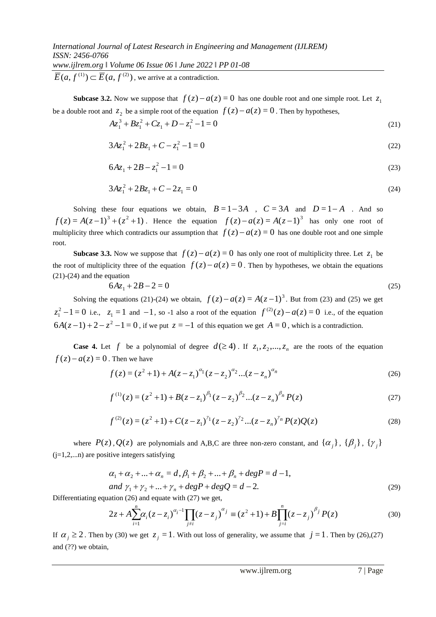$\overline{E}(a, f^{(1)}) \subset \overline{E}(a, f^{(2)})$ , we arrive at a contradiction.

**Subcase 3.2.** Now we suppose that  $f(z) - a(z) = 0$  has one double root and one simple root. Let  $z_1$ be a double root and  $z_2$  be a simple root of the equation  $f(z) - a(z) = 0$ . Then by hypotheses,

$$
Az_1^3 + Bz_1^2 + Cz_1 + D - z_1^2 - 1 = 0
$$
\n(21)

$$
3Az_1^2 + 2Bz_1 + C - z_1^2 - 1 = 0
$$
\n(22)

$$
6A z_1 + 2B - z_1^2 - 1 = 0 \tag{23}
$$

$$
3Az_1^2 + 2Bz_1 + C - 2z_1 = 0 \tag{24}
$$

Solving these four equations we obtain,  $B=1-3A$ ,  $C=3A$  and  $D=1-A$ . And so  $f(z) = A(z-1)^3 + (z^2+1)$ . Hence the equation  $f(z) - a(z) = A(z-1)^3$  has only one root of multiplicity three which contradicts our assumption that  $f(z) - a(z) = 0$  has one double root and one simple root.

**Subcase 3.3.** Now we suppose that  $f(z) - a(z) = 0$  has only one root of multiplicity three. Let  $z_1$  be the root of multiplicity three of the equation  $f(z) - a(z) = 0$ . Then by hypotheses, we obtain the equations (21)-(24) and the equation

$$
6A z_1 + 2B - 2 = 0 \tag{25}
$$

Solving the equations (21)-(24) we obtain,  $f(z) - a(z) = A(z-1)^3$ . But from (23) and (25) we get  $z_1^2 - 1 = 0$  i.e.,  $z_1 = 1$  and  $-1$ , so -1 also a root of the equation  $f^{(2)}(z) - a(z) = 0$  i.e., of the equation  $6A(z-1) + 2 - z^2 - 1 = 0$ , if we put  $z = -1$  of this equation we get  $A = 0$ , which is a contradiction.

**Case 4.** Let f be a polynomial of degree  $d(\geq 4)$ . If  $z_1, z_2, ..., z_n$  are the roots of the equation  $f(z) - a(z) = 0$ . Then we have

$$
f(z) = (z2 + 1) + A(z - z1)a1 (z - z2)a2...(z - zn)an
$$
 (26)

$$
f^{(1)}(z) = (z^2 + 1) + B(z - z_1)^{\beta_1} (z - z_2)^{\beta_2} ... (z - z_n)^{\beta_n} P(z)
$$
\n(27)

$$
f^{(2)}(z) = (z^2 + 1) + C(z - z_1)^{\gamma_1} (z - z_2)^{\gamma_2} \dots (z - z_n)^{\gamma_n} P(z) Q(z)
$$
 (28)

where  $P(z)$ ,  $Q(z)$  are polynomials and A,B,C are three non-zero constant, and  $\{\alpha_j\}$ ,  $\{\beta_j\}$ ,  $\{\gamma_j\}$  $(i=1,2,...n)$  are positive integers satisfying

$$
\alpha_1 + \alpha_2 + \dots + \alpha_n = d, \beta_1 + \beta_2 + \dots + \beta_n + degP = d - 1,and \gamma_1 + \gamma_2 + \dots + \gamma_n + degP + degQ = d - 2.
$$
 (29)

Differentiating equation (26) and equate with (27) we get,

$$
2z + A \sum_{i=1}^{n} \alpha_i (z - z_i)^{\alpha_i - 1} \prod_{j \neq i} (z - z_j)^{\alpha_j} \equiv (z^2 + 1) + B \prod_{j=i}^{n} (z - z_j)^{\beta_j} P(z)
$$
(30)

If  $\alpha_j \ge 2$ . Then by (30) we get  $z_j = 1$ . With out loss of generality, we assume that  $j = 1$ . Then by (26),(27) and (??) we obtain,